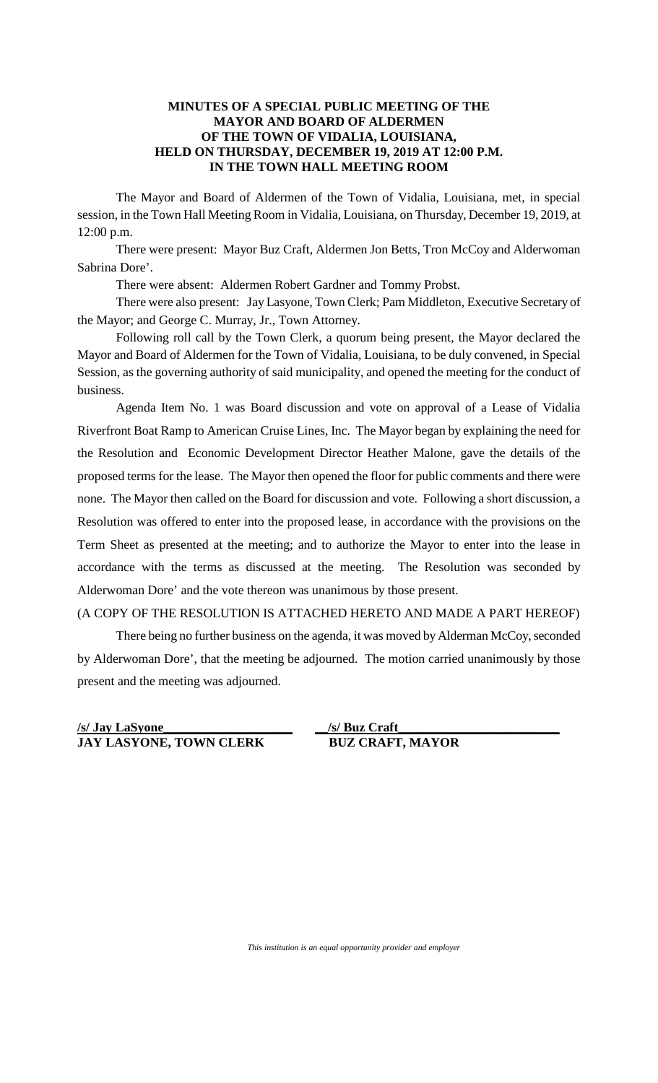## **MINUTES OF A SPECIAL PUBLIC MEETING OF THE MAYOR AND BOARD OF ALDERMEN OF THE TOWN OF VIDALIA, LOUISIANA, HELD ON THURSDAY, DECEMBER 19, 2019 AT 12:00 P.M. IN THE TOWN HALL MEETING ROOM**

The Mayor and Board of Aldermen of the Town of Vidalia, Louisiana, met, in special session, in the Town Hall Meeting Room in Vidalia, Louisiana, on Thursday, December 19, 2019, at 12:00 p.m.

There were present: Mayor Buz Craft, Aldermen Jon Betts, Tron McCoy and Alderwoman Sabrina Dore'.

There were absent: Aldermen Robert Gardner and Tommy Probst.

There were also present: Jay Lasyone, Town Clerk; Pam Middleton, Executive Secretary of the Mayor; and George C. Murray, Jr., Town Attorney.

Following roll call by the Town Clerk, a quorum being present, the Mayor declared the Mayor and Board of Aldermen for the Town of Vidalia, Louisiana, to be duly convened, in Special Session, as the governing authority of said municipality, and opened the meeting for the conduct of business.

Agenda Item No. 1 was Board discussion and vote on approval of a Lease of Vidalia Riverfront Boat Ramp to American Cruise Lines, Inc. The Mayor began by explaining the need for the Resolution and Economic Development Director Heather Malone, gave the details of the proposed terms for the lease. The Mayor then opened the floor for public comments and there were none. The Mayor then called on the Board for discussion and vote. Following a short discussion, a Resolution was offered to enter into the proposed lease, in accordance with the provisions on the Term Sheet as presented at the meeting; and to authorize the Mayor to enter into the lease in accordance with the terms as discussed at the meeting. The Resolution was seconded by Alderwoman Dore' and the vote thereon was unanimous by those present.

## (A COPY OF THE RESOLUTION IS ATTACHED HERETO AND MADE A PART HEREOF)

There being no further business on the agenda, it was moved by Alderman McCoy, seconded by Alderwoman Dore', that the meeting be adjourned. The motion carried unanimously by those present and the meeting was adjourned.

**/s/ Jay LaSyone\_\_\_\_\_\_\_\_\_\_\_\_\_\_\_\_\_\_\_\_ JAY LASYONE, TOWN CLERK BUZ CRAFT, MAYOR**

**\_\_/s/ Buz Craft\_\_\_\_\_\_\_\_\_\_\_\_\_\_\_\_\_\_\_\_\_\_\_\_\_**